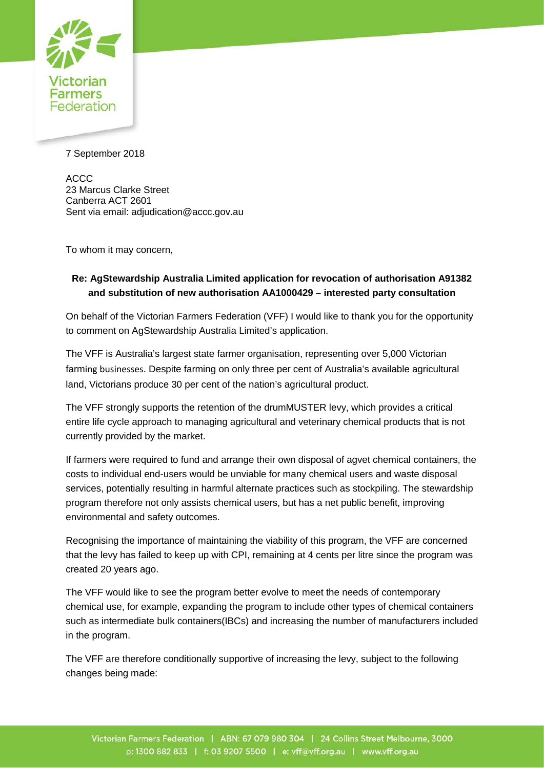

7 September 2018

ACCC 23 Marcus Clarke Street Canberra ACT 2601 Sent via email: adjudication@accc.gov.au

To whom it may concern,

## **Re: AgStewardship Australia Limited application for revocation of authorisation A91382 and substitution of new authorisation AA1000429 – interested party consultation**

On behalf of the Victorian Farmers Federation (VFF) I would like to thank you for the opportunity to comment on AgStewardship Australia Limited's application.

The VFF is Australia's largest state farmer organisation, representing over 5,000 Victorian farming businesses. Despite farming on only three per cent of Australia's available agricultural land, Victorians produce 30 per cent of the nation's agricultural product.

The VFF strongly supports the retention of the drumMUSTER levy, which provides a critical entire life cycle approach to managing agricultural and veterinary chemical products that is not currently provided by the market.

If farmers were required to fund and arrange their own disposal of agvet chemical containers, the costs to individual end-users would be unviable for many chemical users and waste disposal services, potentially resulting in harmful alternate practices such as stockpiling. The stewardship program therefore not only assists chemical users, but has a net public benefit, improving environmental and safety outcomes.

Recognising the importance of maintaining the viability of this program, the VFF are concerned that the levy has failed to keep up with CPI, remaining at 4 cents per litre since the program was created 20 years ago.

The VFF would like to see the program better evolve to meet the needs of contemporary chemical use, for example, expanding the program to include other types of chemical containers such as intermediate bulk containers(IBCs) and increasing the number of manufacturers included in the program.

The VFF are therefore conditionally supportive of increasing the levy, subject to the following changes being made: